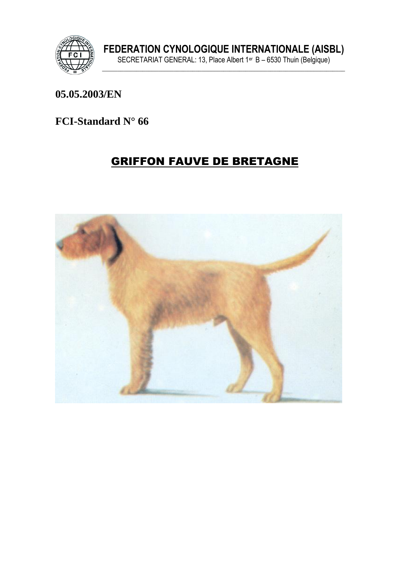

#### 05.05.2003/EN

### **FCI-Standard N° 66**

# **GRIFFON FAUVE DE BRETAGNE**

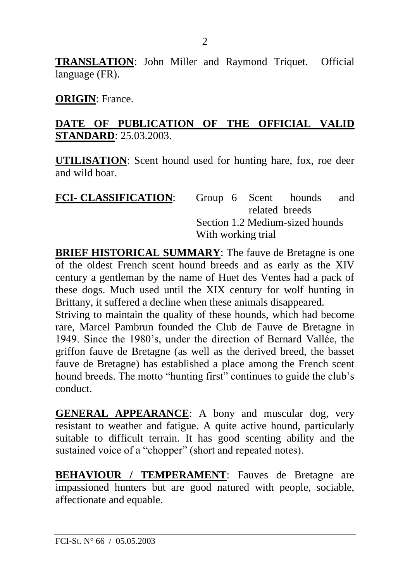**TRANSLATION**: John Miller and Raymond Triquet. Official language (FR).

**ORIGIN**: France.

#### **DATE OF PUBLICATION OF THE OFFICIAL VALID STANDARD**: 25.03.2003.

**UTILISATION**: Scent hound used for hunting hare, fox, roe deer and wild boar.

| <b>FCI- CLASSIFICATION:</b> |                                 |  |  | Group 6 Scent hounds | and |
|-----------------------------|---------------------------------|--|--|----------------------|-----|
|                             |                                 |  |  | related breeds       |     |
|                             | Section 1.2 Medium-sized hounds |  |  |                      |     |
|                             | With working trial              |  |  |                      |     |

**BRIEF HISTORICAL SUMMARY:** The fauve de Bretagne is one of the oldest French scent hound breeds and as early as the XIV century a gentleman by the name of Huet des Ventes had a pack of these dogs. Much used until the XIX century for wolf hunting in Brittany, it suffered a decline when these animals disappeared.

Striving to maintain the quality of these hounds, which had become rare, Marcel Pambrun founded the Club de Fauve de Bretagne in 1949. Since the 1980's, under the direction of Bernard Vallée, the griffon fauve de Bretagne (as well as the derived breed, the basset fauve de Bretagne) has established a place among the French scent hound breeds. The motto "hunting first" continues to guide the club's conduct.

**GENERAL APPEARANCE**: A bony and muscular dog, very resistant to weather and fatigue. A quite active hound, particularly suitable to difficult terrain. It has good scenting ability and the sustained voice of a "chopper" (short and repeated notes).

**BEHAVIOUR / TEMPERAMENT**: Fauves de Bretagne are impassioned hunters but are good natured with people, sociable, affectionate and equable.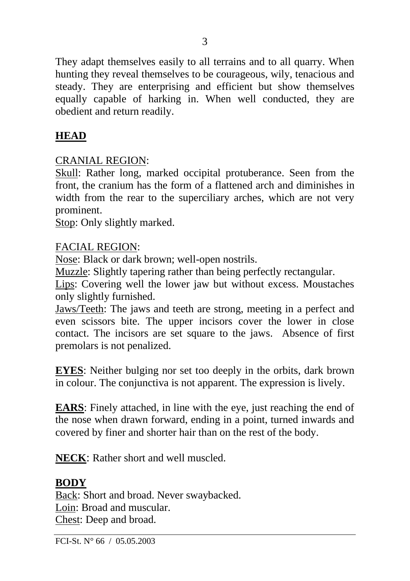They adapt themselves easily to all terrains and to all quarry. When hunting they reveal themselves to be courageous, wily, tenacious and steady. They are enterprising and efficient but show themselves equally capable of harking in. When well conducted, they are obedient and return readily.

# **HEAD**

### CRANIAL REGION:

Skull: Rather long, marked occipital protuberance. Seen from the front, the cranium has the form of a flattened arch and diminishes in width from the rear to the superciliary arches, which are not very prominent.

Stop: Only slightly marked.

### FACIAL REGION:

Nose: Black or dark brown; well-open nostrils.

Muzzle: Slightly tapering rather than being perfectly rectangular.

Lips: Covering well the lower jaw but without excess. Moustaches only slightly furnished.

Jaws/Teeth: The jaws and teeth are strong, meeting in a perfect and even scissors bite. The upper incisors cover the lower in close contact. The incisors are set square to the jaws. Absence of first premolars is not penalized.

**EYES**: Neither bulging nor set too deeply in the orbits, dark brown in colour. The conjunctiva is not apparent. The expression is lively.

**EARS**: Finely attached, in line with the eye, just reaching the end of the nose when drawn forward, ending in a point, turned inwards and covered by finer and shorter hair than on the rest of the body.

**NECK**: Rather short and well muscled.

## **BODY**

Back: Short and broad. Never swaybacked. Loin: Broad and muscular. Chest: Deep and broad.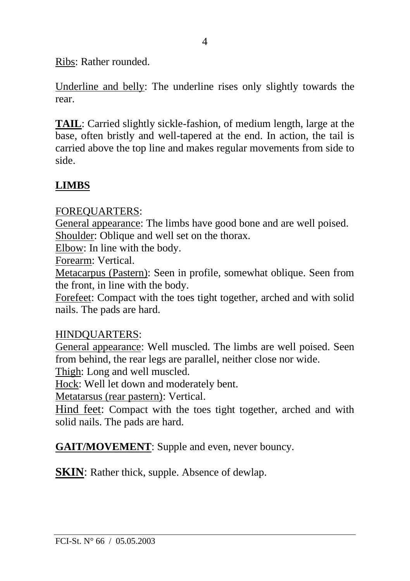Ribs: Rather rounded.

Underline and belly: The underline rises only slightly towards the rear.

**TAIL**: Carried slightly sickle-fashion, of medium length, large at the base, often bristly and well-tapered at the end. In action, the tail is carried above the top line and makes regular movements from side to side.

## **LIMBS**

#### FOREQUARTERS:

General appearance: The limbs have good bone and are well poised. Shoulder: Oblique and well set on the thorax.

Elbow: In line with the body.

Forearm: Vertical.

Metacarpus (Pastern): Seen in profile, somewhat oblique. Seen from the front, in line with the body.

Forefeet: Compact with the toes tight together, arched and with solid nails. The pads are hard.

#### HINDQUARTERS:

General appearance: Well muscled. The limbs are well poised. Seen from behind, the rear legs are parallel, neither close nor wide.

Thigh: Long and well muscled.

Hock: Well let down and moderately bent.

Metatarsus (rear pastern): Vertical.

Hind feet: Compact with the toes tight together, arched and with solid nails. The pads are hard.

**GAIT/MOVEMENT**: Supple and even, never bouncy.

**SKIN:** Rather thick, supple. Absence of dewlap.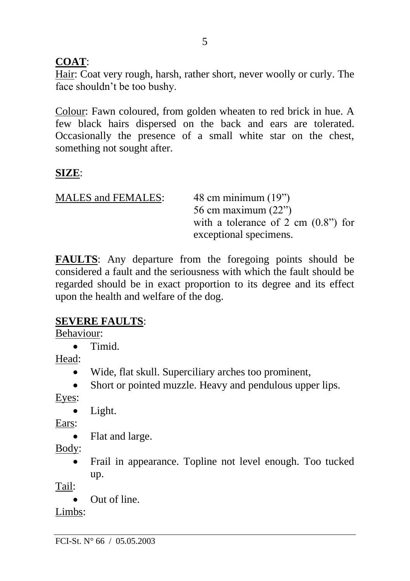## **COAT**:

Hair: Coat very rough, harsh, rather short, never woolly or curly. The face shouldn't be too bushy.

Colour: Fawn coloured, from golden wheaten to red brick in hue. A few black hairs dispersed on the back and ears are tolerated. Occasionally the presence of a small white star on the chest, something not sought after.

## **SIZE**:

| <b>MALES</b> and FEMALES: | 48 cm minimum $(19")$                 |
|---------------------------|---------------------------------------|
|                           | 56 cm maximum $(22)$                  |
|                           | with a tolerance of 2 cm $(0.8")$ for |
|                           | exceptional specimens.                |

**FAULTS**: Any departure from the foregoing points should be considered a fault and the seriousness with which the fault should be regarded should be in exact proportion to its degree and its effect upon the health and welfare of the dog.

#### **SEVERE FAULTS**:

Behaviour:

• Timid.

Head:

- Wide, flat skull. Superciliary arches too prominent,
- Short or pointed muzzle. Heavy and pendulous upper lips.

Eyes:

• Light.

Ears:

• Flat and large.

Body:

• Frail in appearance. Topline not level enough. Too tucked up.

Tail:

• Out of line.

Limbs: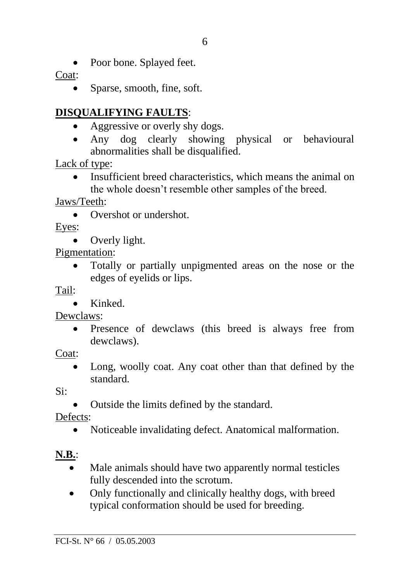Poor bone. Splayed feet.

Coat:

Sparse, smooth, fine, soft.

# **DISQUALIFYING FAULTS**:

- Aggressive or overly shy dogs.
- Any dog clearly showing physical or behavioural abnormalities shall be disqualified.

Lack of type:

• Insufficient breed characteristics, which means the animal on the whole doesn't resemble other samples of the breed.

Jaws/Teeth:

• Overshot or undershot.

Eyes:

• Overly light.

Pigmentation:

• Totally or partially unpigmented areas on the nose or the edges of eyelids or lips.

Tail:

• Kinked.

Dewclaws:

• Presence of dewclaws (this breed is always free from dewclaws).

Coat:

Long, woolly coat. Any coat other than that defined by the standard.

Si:

• Outside the limits defined by the standard.

Defects:

• Noticeable invalidating defect. Anatomical malformation.

# **N.B.**:

- Male animals should have two apparently normal testicles fully descended into the scrotum.
- Only functionally and clinically healthy dogs, with breed typical conformation should be used for breeding.